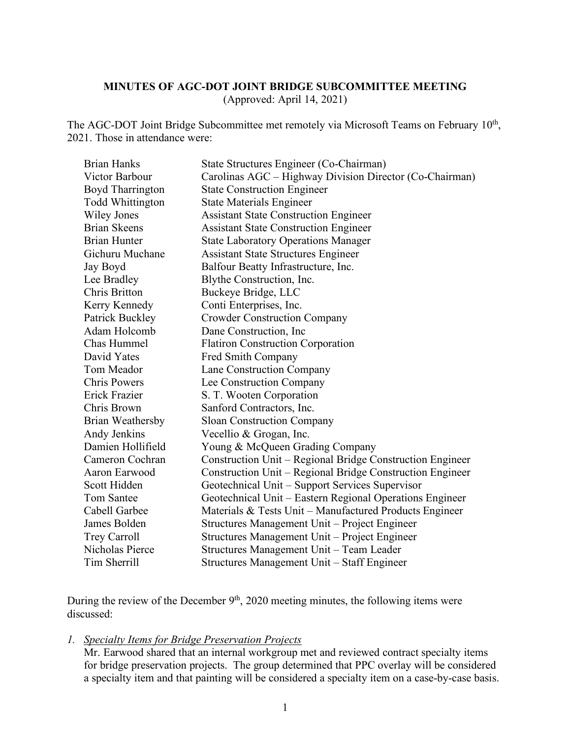# **MINUTES OF AGC-DOT JOINT BRIDGE SUBCOMMITTEE MEETING**

(Approved: April 14, 2021)

The AGC-DOT Joint Bridge Subcommittee met remotely via Microsoft Teams on February 10<sup>th</sup>, 2021. Those in attendance were:

| <b>Brian Hanks</b>      | State Structures Engineer (Co-Chairman)                   |
|-------------------------|-----------------------------------------------------------|
| Victor Barbour          | Carolinas AGC – Highway Division Director (Co-Chairman)   |
| <b>Boyd Tharrington</b> | <b>State Construction Engineer</b>                        |
| Todd Whittington        | <b>State Materials Engineer</b>                           |
| <b>Wiley Jones</b>      | <b>Assistant State Construction Engineer</b>              |
| <b>Brian Skeens</b>     | <b>Assistant State Construction Engineer</b>              |
| <b>Brian Hunter</b>     | <b>State Laboratory Operations Manager</b>                |
| Gichuru Muchane         | <b>Assistant State Structures Engineer</b>                |
| Jay Boyd                | Balfour Beatty Infrastructure, Inc.                       |
| Lee Bradley             | Blythe Construction, Inc.                                 |
| <b>Chris Britton</b>    | Buckeye Bridge, LLC                                       |
| Kerry Kennedy           | Conti Enterprises, Inc.                                   |
| Patrick Buckley         | <b>Crowder Construction Company</b>                       |
| Adam Holcomb            | Dane Construction, Inc.                                   |
| Chas Hummel             | <b>Flatiron Construction Corporation</b>                  |
| David Yates             | Fred Smith Company                                        |
| Tom Meador              | Lane Construction Company                                 |
| <b>Chris Powers</b>     | Lee Construction Company                                  |
| Erick Frazier           | S. T. Wooten Corporation                                  |
| Chris Brown             | Sanford Contractors, Inc.                                 |
| Brian Weathersby        | <b>Sloan Construction Company</b>                         |
| Andy Jenkins            | Vecellio & Grogan, Inc.                                   |
| Damien Hollifield       | Young & McQueen Grading Company                           |
| Cameron Cochran         | Construction Unit – Regional Bridge Construction Engineer |
| Aaron Earwood           | Construction Unit – Regional Bridge Construction Engineer |
| Scott Hidden            | Geotechnical Unit – Support Services Supervisor           |
| <b>Tom Santee</b>       | Geotechnical Unit - Eastern Regional Operations Engineer  |
| Cabell Garbee           | Materials & Tests Unit - Manufactured Products Engineer   |
| James Bolden            | Structures Management Unit - Project Engineer             |
| <b>Trey Carroll</b>     | Structures Management Unit - Project Engineer             |
| Nicholas Pierce         | Structures Management Unit - Team Leader                  |
| Tim Sherrill            | Structures Management Unit - Staff Engineer               |

During the review of the December  $9<sup>th</sup>$ , 2020 meeting minutes, the following items were discussed:

## *1. Specialty Items for Bridge Preservation Projects*

Mr. Earwood shared that an internal workgroup met and reviewed contract specialty items for bridge preservation projects. The group determined that PPC overlay will be considered a specialty item and that painting will be considered a specialty item on a case-by-case basis.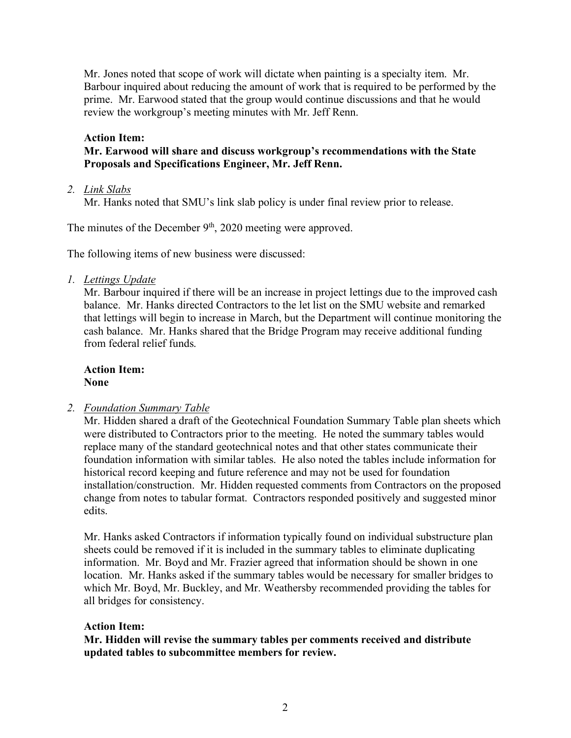Mr. Jones noted that scope of work will dictate when painting is a specialty item. Mr. Barbour inquired about reducing the amount of work that is required to be performed by the prime. Mr. Earwood stated that the group would continue discussions and that he would review the workgroup's meeting minutes with Mr. Jeff Renn.

#### **Action Item:**

# **Mr. Earwood will share and discuss workgroup's recommendations with the State Proposals and Specifications Engineer, Mr. Jeff Renn.**

#### *2. Link Slabs*

Mr. Hanks noted that SMU's link slab policy is under final review prior to release.

The minutes of the December  $9<sup>th</sup>$ , 2020 meeting were approved.

The following items of new business were discussed:

*1. Lettings Update*

Mr. Barbour inquired if there will be an increase in project lettings due to the improved cash balance. Mr. Hanks directed Contractors to the let list on the SMU website and remarked that lettings will begin to increase in March, but the Department will continue monitoring the cash balance. Mr. Hanks shared that the Bridge Program may receive additional funding from federal relief funds.

**Action Item: None**

## *2. Foundation Summary Table*

Mr. Hidden shared a draft of the Geotechnical Foundation Summary Table plan sheets which were distributed to Contractors prior to the meeting. He noted the summary tables would replace many of the standard geotechnical notes and that other states communicate their foundation information with similar tables. He also noted the tables include information for historical record keeping and future reference and may not be used for foundation installation/construction. Mr. Hidden requested comments from Contractors on the proposed change from notes to tabular format. Contractors responded positively and suggested minor edits.

Mr. Hanks asked Contractors if information typically found on individual substructure plan sheets could be removed if it is included in the summary tables to eliminate duplicating information. Mr. Boyd and Mr. Frazier agreed that information should be shown in one location. Mr. Hanks asked if the summary tables would be necessary for smaller bridges to which Mr. Boyd, Mr. Buckley, and Mr. Weathersby recommended providing the tables for all bridges for consistency.

## **Action Item:**

**Mr. Hidden will revise the summary tables per comments received and distribute updated tables to subcommittee members for review.**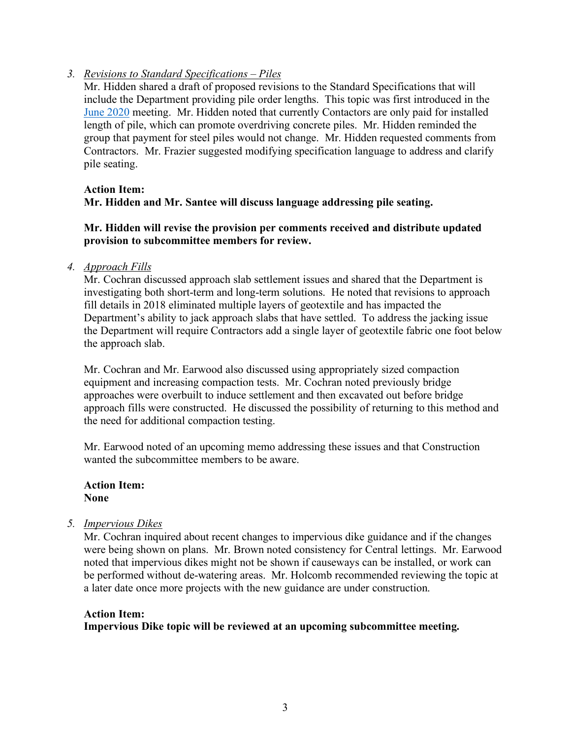## *3. Revisions to Standard Specifications – Piles*

Mr. Hidden shared a draft of proposed revisions to the Standard Specifications that will include the Department providing pile order lengths. This topic was first introduced in the [June 2020](https://connect.ncdot.gov/resources/Structures/Structures%20Committee%20Meetings/2020_06_10.pdf) meeting. Mr. Hidden noted that currently Contactors are only paid for installed length of pile, which can promote overdriving concrete piles. Mr. Hidden reminded the group that payment for steel piles would not change. Mr. Hidden requested comments from Contractors. Mr. Frazier suggested modifying specification language to address and clarify pile seating.

# **Action Item: Mr. Hidden and Mr. Santee will discuss language addressing pile seating.**

## **Mr. Hidden will revise the provision per comments received and distribute updated provision to subcommittee members for review.**

#### *4. Approach Fills*

Mr. Cochran discussed approach slab settlement issues and shared that the Department is investigating both short-term and long-term solutions. He noted that revisions to approach fill details in 2018 eliminated multiple layers of geotextile and has impacted the Department's ability to jack approach slabs that have settled. To address the jacking issue the Department will require Contractors add a single layer of geotextile fabric one foot below the approach slab.

Mr. Cochran and Mr. Earwood also discussed using appropriately sized compaction equipment and increasing compaction tests. Mr. Cochran noted previously bridge approaches were overbuilt to induce settlement and then excavated out before bridge approach fills were constructed. He discussed the possibility of returning to this method and the need for additional compaction testing.

Mr. Earwood noted of an upcoming memo addressing these issues and that Construction wanted the subcommittee members to be aware.

**Action Item: None**

#### *5. Impervious Dikes*

Mr. Cochran inquired about recent changes to impervious dike guidance and if the changes were being shown on plans. Mr. Brown noted consistency for Central lettings. Mr. Earwood noted that impervious dikes might not be shown if causeways can be installed, or work can be performed without de-watering areas. Mr. Holcomb recommended reviewing the topic at a later date once more projects with the new guidance are under construction.

#### **Action Item:**

**Impervious Dike topic will be reviewed at an upcoming subcommittee meeting.**